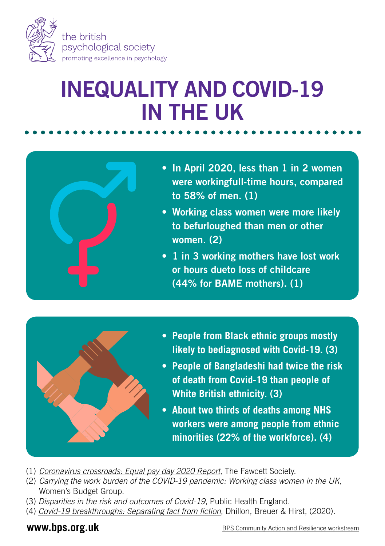

## INEQUALITY AND COVID-19 IN THE UK



- In April 2020, less than 1 in 2 women were workingfull-time hours, compared to 58% of men. (1)
- Working class women were more likely to befurloughed than men or other women. (2)
- 1 in 3 working mothers have lost work or hours dueto loss of childcare (44% for BAME mothers). (1)



- **• People from Black ethnic groups mostly likely to bediagnosed with Covid-19. (3)**
- **• People of Bangladeshi had twice the risk of death from Covid-19 than people of White British ethnicity. (3)**
- **• About two thirds of deaths among NHS workers were among people from ethnic minorities (22% of the workforce). (4)**
- (1) *[Coronavirus crossroads: Equal pay day 2020 Report](https://www.fawcettsociety.org.uk/coronavirus-crossroads-equal-pay-day-2020-report)*, The Fawcett Society.
- (2) *[Carrying the work burden of the COVID-19 pandemic: Working class women in the UK](https://warwick.ac.uk/newsandevents/pressreleases/first_results_from_new_study_examining_the_impact_of_covid-19_on_working-class_women_in_the_uk_published_today1/briefing_note_1_13-10-20.pdf)*, Women's Budget Group.
- (3) *[Disparities in the risk and outcomes of Covid-19](https://assets.publishing.service.gov.uk/government/uploads/system/uploads/attachment_data/file/908434/Disparities_in_the_risk_and_outcomes_of_COVID_August_2020_update.pdf)*, Public Health England.
- (4) *[Covid-19 breakthroughs: Separating fact from fiction](https://febs.onlinelibrary.wiley.com/doi/full/10.1111/febs.15442)*, Dhillon, Breuer & Hirst, (2020).